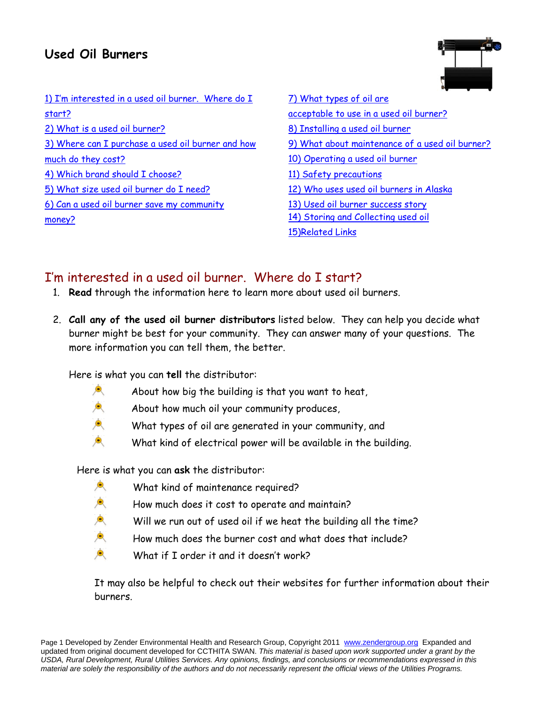# **Used Oil Burners**



| 1) I'm interested in a used oil burner. Where do I |
|----------------------------------------------------|
| start?                                             |
| 2) What is a used oil burner?                      |
| 3) Where can I purchase a used oil burner and how  |
| much do they cost?                                 |
| 4) Which brand should I choose?                    |
| 5) What size used oil burner do I need?            |
| 6) Can a used oil burner save my community         |
| money?                                             |
|                                                    |

| 7) What types of oil are                        |
|-------------------------------------------------|
| acceptable to use in a used oil burner?         |
| 8) Installing a used oil burner                 |
| 9) What about maintenance of a used oil burner? |
| 10) Operating a used oil burner                 |
| 11) Safety precautions                          |
| 12) Who uses used oil burners in Alaska         |
| 13) Used oil burner success story               |
| 14) Storing and Collecting used oil             |
| <b>15)Related Links</b>                         |

# I'm interested in a used oil burner. Where do I start?

- 1. **Read** through the information here to learn more about used oil burners.
- 2. **Call any of the used oil burner distributors** listed below. They can help you decide what burner might be best for your community. They can answer many of your questions. The more information you can tell them, the better.

Here is what you can **tell** the distributor:

- About how big the building is that you want to heat,
- </del> About how much oil your community produces,
- 東 What types of oil are generated in your community, and
- Ò. What kind of electrical power will be available in the building.

Here is what you can **ask** the distributor:

- 魚 What kind of maintenance required?
- $\bullet$ How much does it cost to operate and maintain?
- 東 Will we run out of used oil if we heat the building all the time?
- 東 How much does the burner cost and what does that include?
	- What if I order it and it doesn't work?

It may also be helpful to check out their websites for further information about their burners.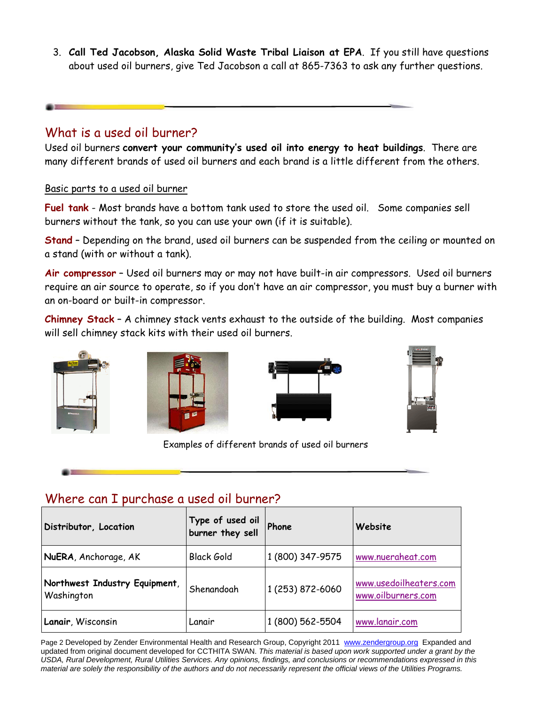3. **Call Ted Jacobson, Alaska Solid Waste Tribal Liaison at EPA**. If you still have questions about used oil burners, give Ted Jacobson a call at 865-7363 to ask any further questions.

#### What is a used oil burner?

Used oil burners **convert your community's used oil into energy to heat buildings**. There are many different brands of used oil burners and each brand is a little different from the others.

#### Basic parts to a used oil burner

**Fuel tank** - Most brands have a bottom tank used to store the used oil. Some companies sell burners without the tank, so you can use your own (if it is suitable).

**Stand** – Depending on the brand, used oil burners can be suspended from the ceiling or mounted on a stand (with or without a tank).

**Air compressor** – Used oil burners may or may not have built-in air compressors. Used oil burners require an air source to operate, so if you don't have an air compressor, you must buy a burner with an on-board or built-in compressor.

**Chimney Stack** – A chimney stack vents exhaust to the outside of the building. Most companies will sell chimney stack kits with their used oil burners.







Examples of different brands of used oil burners



#### Where can I purchase a used oil burner?

| Distributor, Location                       | Type of used oil<br>burner they sell | Phone            | Website                                      |
|---------------------------------------------|--------------------------------------|------------------|----------------------------------------------|
| NuERA, Anchorage, AK                        | <b>Black Gold</b>                    | 1 (800) 347-9575 | www.nueraheat.com                            |
| Northwest Industry Equipment,<br>Washington | Shenandoah                           | 1 (253) 872-6060 | www.usedoilheaters.com<br>www.oilburners.com |
| Lanair, Wisconsin                           | Lanair                               | 1 (800) 562-5504 | www.lanair.com                               |

Page 2 Developed by Zender Environmental Health and Research Group, Copyright 2011 www.zendergroup.org Expanded and updated from original document developed for CCTHITA SWAN. *This material is based upon work supported under a grant by the USDA, Rural Development, Rural Utilities Services. Any opinions, findings, and conclusions or recommendations expressed in this material are solely the responsibility of the authors and do not necessarily represent the official views of the Utilities Programs.*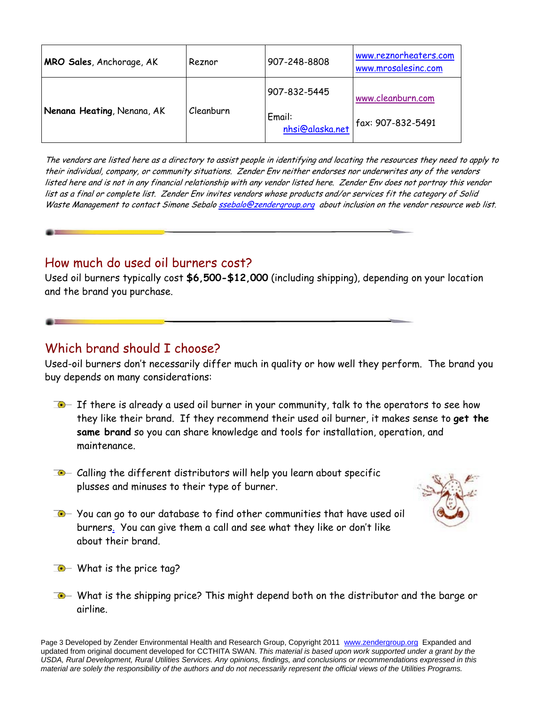| MRO Sales, Anchorage, AK   | Reznor    | 907-248-8808                              | www.reznorheaters.com<br>www.mrosalesinc.com |
|----------------------------|-----------|-------------------------------------------|----------------------------------------------|
| Nenana Heating, Nenana, AK | Cleanburn | 907-832-5445<br>Email:<br>nhsi@alaska.net | www.cleanburn.com<br>fax: 907-832-5491       |

The vendors are listed here as a directory to assist people in identifying and locating the resources they need to apply to their individual, company, or community situations. Zender Env neither endorses nor underwrites any of the vendors listed here and is not in any financial relationship with any vendor listed here. Zender Env does not portray this vendor list as a final or complete list. Zender Env invites vendors whose products and/or services fit the category of Solid Waste Management to contact Simone Sebalo ssebalo@zendergroup.org about inclusion on the vendor resource web list.

### How much do used oil burners cost?

Used oil burners typically cost **\$6,500-\$12,000** (including shipping), depending on your location and the brand you purchase.

### Which brand should I choose?

Used-oil burners don't necessarily differ much in quality or how well they perform. The brand you buy depends on many considerations:

- $I$  If there is already a used oil burner in your community, talk to the operators to see how they like their brand. If they recommend their used oil burner, it makes sense to **get the same brand** so you can share knowledge and tools for installation, operation, and maintenance.
- $\Box$  Calling the different distributors will help you learn about specific plusses and minuses to their type of burner.



- $\Box$  You can go to our database to find other communities that have used oil burners. You can give them a call and see what they like or don't like about their brand.
- $\Box$  What is the price tag?
- $\Box$  What is the shipping price? This might depend both on the distributor and the barge or airline.

Page 3 Developed by Zender Environmental Health and Research Group, Copyright 2011 www.zendergroup.org Expanded and updated from original document developed for CCTHITA SWAN. *This material is based upon work supported under a grant by the USDA, Rural Development, Rural Utilities Services. Any opinions, findings, and conclusions or recommendations expressed in this material are solely the responsibility of the authors and do not necessarily represent the official views of the Utilities Programs.*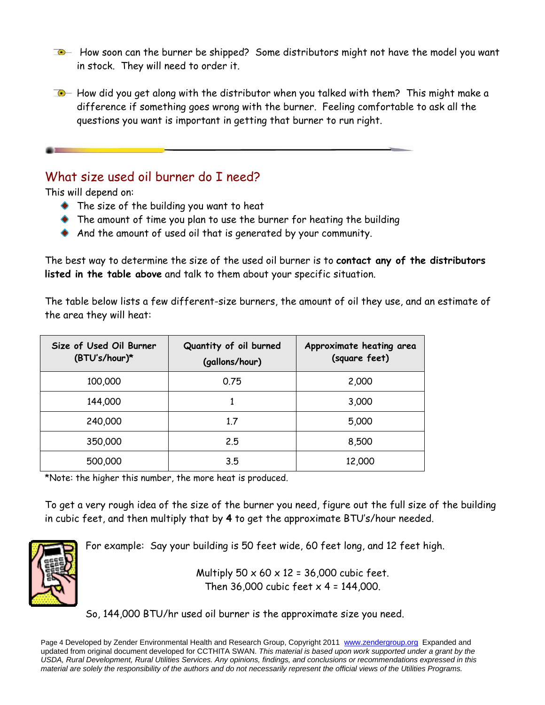$\Box$  How soon can the burner be shipped? Some distributors might not have the model you want in stock. They will need to order it.

 $\Box$  How did you get along with the distributor when you talked with them? This might make a difference if something goes wrong with the burner. Feeling comfortable to ask all the questions you want is important in getting that burner to run right.

### What size used oil burner do I need?

This will depend on:

- The size of the building you want to heat
- The amount of time you plan to use the burner for heating the building
- And the amount of used oil that is generated by your community.

The best way to determine the size of the used oil burner is to **contact any of the distributors listed in the table above** and talk to them about your specific situation.

The table below lists a few different-size burners, the amount of oil they use, and an estimate of the area they will heat:

| Size of Used Oil Burner<br>(BTU's/hour)* | Quantity of oil burned<br>(gallons/hour) | Approximate heating area<br>(square feet) |
|------------------------------------------|------------------------------------------|-------------------------------------------|
| 100,000                                  | 0.75                                     | 2,000                                     |
| 144,000                                  |                                          | 3,000                                     |
| 240,000                                  | 1.7                                      | 5,000                                     |
| 350,000                                  | 2.5                                      | 8,500                                     |
| 500,000                                  | 3.5                                      | 12,000                                    |

\*Note: the higher this number, the more heat is produced.

To get a very rough idea of the size of the burner you need, figure out the full size of the building in cubic feet, and then multiply that by **4** to get the approximate BTU's/hour needed.



For example: Say your building is 50 feet wide, 60 feet long, and 12 feet high.

Multiply  $50 \times 60 \times 12 = 36,000$  cubic feet. Then 36,000 cubic feet  $x$  4 = 144,000.

So, 144,000 BTU/hr used oil burner is the approximate size you need.

Page 4 Developed by Zender Environmental Health and Research Group, Copyright 2011 www.zendergroup.org Expanded and updated from original document developed for CCTHITA SWAN. *This material is based upon work supported under a grant by the USDA, Rural Development, Rural Utilities Services. Any opinions, findings, and conclusions or recommendations expressed in this material are solely the responsibility of the authors and do not necessarily represent the official views of the Utilities Programs.*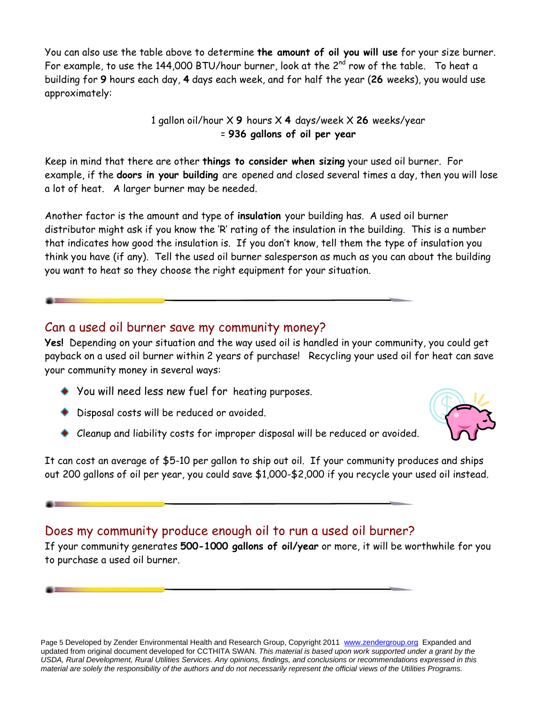You can also use the table above to determine **the amount of oil you will use** for your size burner. For example, to use the 144,000 BTU/hour burner, look at the  $2^{nd}$  row of the table. To heat a building for **9** hours each day, **4** days each week, and for half the year (**26** weeks), you would use approximately:

> 1 gallon oil/hour X **9** hours X **4** days/week X **26** weeks/year = **936 gallons of oil per year**

Keep in mind that there are other **things to consider when sizing** your used oil burner. For example, if the **doors in your building** are opened and closed several times a day, then you will lose a lot of heat. A larger burner may be needed.

Another factor is the amount and type of **insulation** your building has. A used oil burner distributor might ask if you know the 'R' rating of the insulation in the building. This is a number that indicates how good the insulation is. If you don't know, tell them the type of insulation you think you have (if any). Tell the used oil burner salesperson as much as you can about the building you want to heat so they choose the right equipment for your situation.

#### Can a used oil burner save my community money?

**Yes!** Depending on your situation and the way used oil is handled in your community, you could get payback on a used oil burner within 2 years of purchase! Recycling your used oil for heat can save your community money in several ways:

- You will need less new fuel for heating purposes.
- Disposal costs will be reduced or avoided.
- Cleanup and liability costs for improper disposal will be reduced or avoided.



It can cost an average of \$5-10 per gallon to ship out oil. If your community produces and ships out 200 gallons of oil per year, you could save \$1,000-\$2,000 if you recycle your used oil instead.

#### Does my community produce enough oil to run a used oil burner?

If your community generates **500-1000 gallons of oil/year** or more, it will be worthwhile for you to purchase a used oil burner.

Page 5 Developed by Zender Environmental Health and Research Group, Copyright 2011 www.zendergroup.org Expanded and updated from original document developed for CCTHITA SWAN. *This material is based upon work supported under a grant by the USDA, Rural Development, Rural Utilities Services. Any opinions, findings, and conclusions or recommendations expressed in this material are solely the responsibility of the authors and do not necessarily represent the official views of the Utilities Programs.*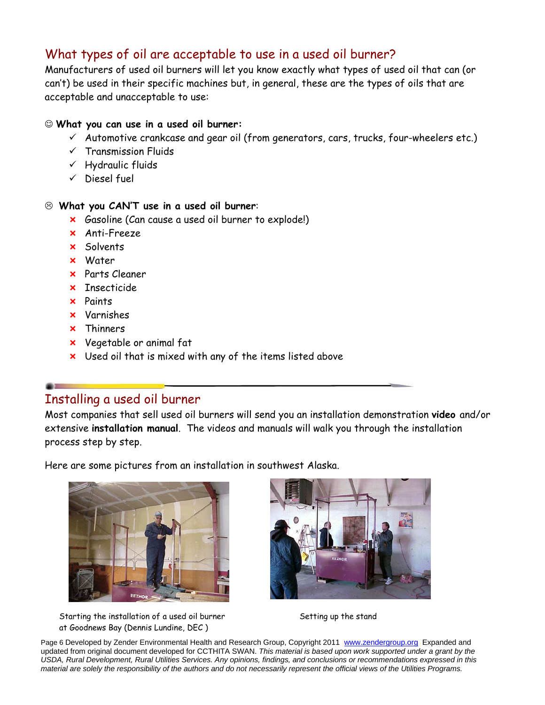## What types of oil are acceptable to use in a used oil burner?

Manufacturers of used oil burners will let you know exactly what types of used oil that can (or can't) be used in their specific machines but, in general, these are the types of oils that are acceptable and unacceptable to use:

#### **What you can use in a used oil burner:**

- $\checkmark$  Automotive crankcase and gear oil (from generators, cars, trucks, four-wheelers etc.)
- $\checkmark$  Transmission Fluids
- $\checkmark$  Hydraulic fluids
- $\checkmark$  Diesel fuel

#### **What you CAN'T use in a used oil burner**:

- **x** Gasoline (Can cause a used oil burner to explode!)
- Anti-Freeze
- **x** Solvents
- Water
- Parts Cleaner
- **x** Insecticide
- Paints
- Varnishes
- Thinners
- Vegetable or animal fat
- x Used oil that is mixed with any of the items listed above

### Installing a used oil burner

Most companies that sell used oil burners will send you an installation demonstration **video** and/or extensive **installation manual**. The videos and manuals will walk you through the installation process step by step.

Here are some pictures from an installation in southwest Alaska.





Starting the installation of a used oil burner Setting up the stand at Goodnews Bay (Dennis Lundine, DEC )

Page 6 Developed by Zender Environmental Health and Research Group, Copyright 2011 www.zendergroup.org Expanded and updated from original document developed for CCTHITA SWAN. *This material is based upon work supported under a grant by the USDA, Rural Development, Rural Utilities Services. Any opinions, findings, and conclusions or recommendations expressed in this material are solely the responsibility of the authors and do not necessarily represent the official views of the Utilities Programs.*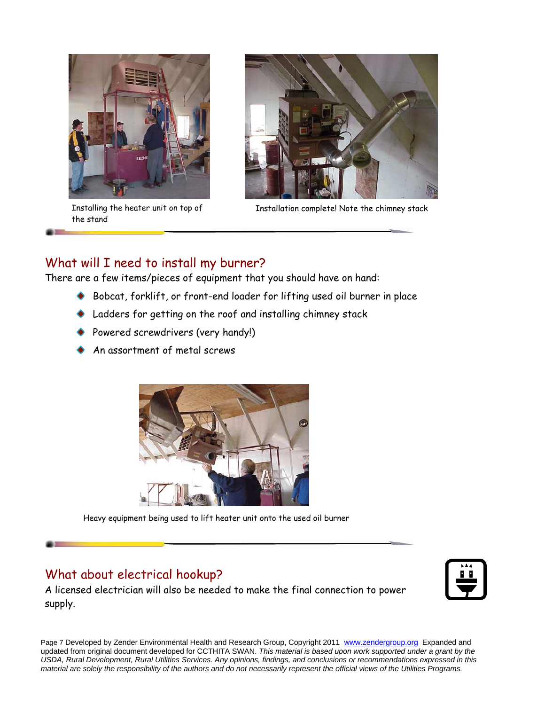

the stand



Installing the heater unit on top of Installation complete! Note the chimney stack

### What will I need to install my burner?

There are a few items/pieces of equipment that you should have on hand:

- Bobcat, forklift, or front-end loader for lifting used oil burner in place
- Ladders for getting on the roof and installing chimney stack
- Powered screwdrivers (very handy!)
- An assortment of metal screws



Heavy equipment being used to lift heater unit onto the used oil burner

### What about electrical hookup?

A licensed electrician will also be needed to make the final connection to power supply.



Page 7 Developed by Zender Environmental Health and Research Group, Copyright 2011 www.zendergroup.org Expanded and updated from original document developed for CCTHITA SWAN. *This material is based upon work supported under a grant by the USDA, Rural Development, Rural Utilities Services. Any opinions, findings, and conclusions or recommendations expressed in this material are solely the responsibility of the authors and do not necessarily represent the official views of the Utilities Programs.*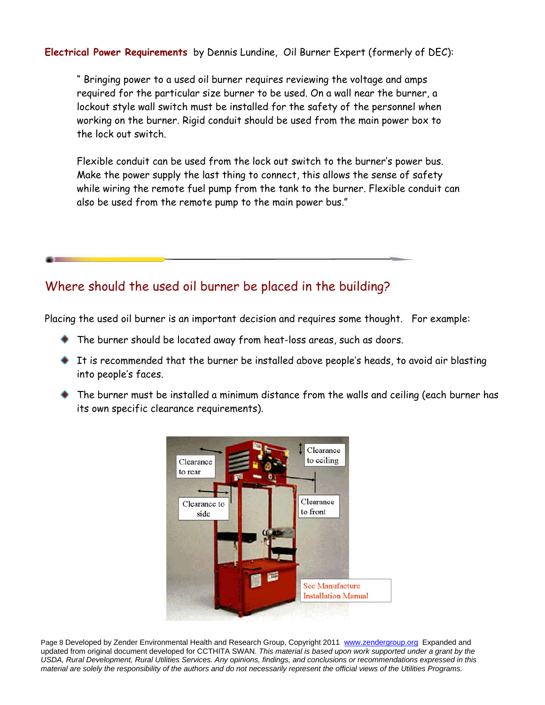**Electrical Power Requirements** by Dennis Lundine, Oil Burner Expert (formerly of DEC):

" Bringing power to a used oil burner requires reviewing the voltage and amps required for the particular size burner to be used. On a wall near the burner, a lockout style wall switch must be installed for the safety of the personnel when working on the burner. Rigid conduit should be used from the main power box to the lock out switch.

Flexible conduit can be used from the lock out switch to the burner's power bus. Make the power supply the last thing to connect, this allows the sense of safety while wiring the remote fuel pump from the tank to the burner. Flexible conduit can also be used from the remote pump to the main power bus."

### Where should the used oil burner be placed in the building?

Placing the used oil burner is an important decision and requires some thought. For example:

- The burner should be located away from heat-loss areas, such as doors.
- It is recommended that the burner be installed above people's heads, to avoid air blasting into people's faces.
- The burner must be installed a minimum distance from the walls and ceiling (each burner has its own specific clearance requirements).



Page 8 Developed by Zender Environmental Health and Research Group, Copyright 2011 www.zendergroup.org Expanded and updated from original document developed for CCTHITA SWAN. *This material is based upon work supported under a grant by the USDA, Rural Development, Rural Utilities Services. Any opinions, findings, and conclusions or recommendations expressed in this material are solely the responsibility of the authors and do not necessarily represent the official views of the Utilities Programs.*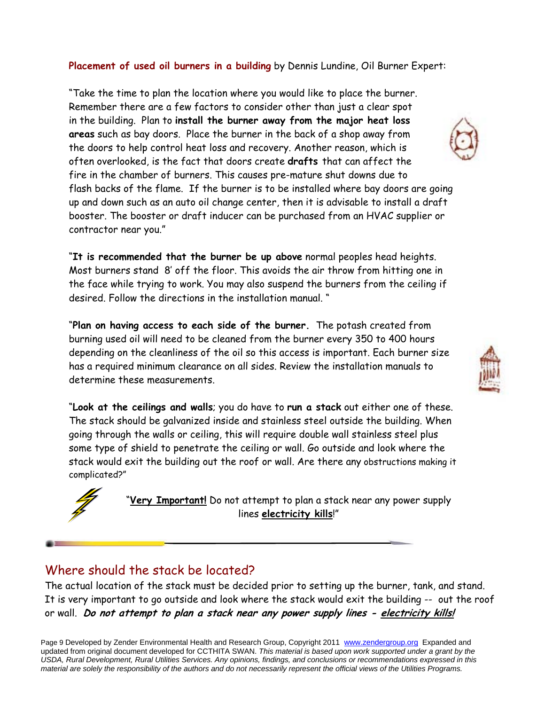#### **Placement of used oil burners in a building** by Dennis Lundine, Oil Burner Expert:

"Take the time to plan the location where you would like to place the burner. Remember there are a few factors to consider other than just a clear spot in the building. Plan to **install the burner away from the major heat loss areas** such as bay doors. Place the burner in the back of a shop away from the doors to help control heat loss and recovery. Another reason, which is often overlooked, is the fact that doors create **drafts** that can affect the fire in the chamber of burners. This causes pre-mature shut downs due to flash backs of the flame. If the burner is to be installed where bay doors are going up and down such as an auto oil change center, then it is advisable to install a draft booster. The booster or draft inducer can be purchased from an HVAC supplier or contractor near you."

"**It is recommended that the burner be up above** normal peoples head heights. Most burners stand 8' off the floor. This avoids the air throw from hitting one in the face while trying to work. You may also suspend the burners from the ceiling if desired. Follow the directions in the installation manual. "

"**Plan on having access to each side of the burner.** The potash created from burning used oil will need to be cleaned from the burner every 350 to 400 hours depending on the cleanliness of the oil so this access is important. Each burner size has a required minimum clearance on all sides. Review the installation manuals to determine these measurements.

"**Look at the ceilings and walls**; you do have to **run a stack** out either one of these. The stack should be galvanized inside and stainless steel outside the building. When going through the walls or ceiling, this will require double wall stainless steel plus some type of shield to penetrate the ceiling or wall. Go outside and look where the stack would exit the building out the roof or wall. Are there any obstructions making it complicated?"



"**Very Important!** Do not attempt to plan a stack near any power supply lines **electricity kills**!"

#### Where should the stack be located?

The actual location of the stack must be decided prior to setting up the burner, tank, and stand. It is very important to go outside and look where the stack would exit the building -- out the roof or wall. **Do not attempt to plan a stack near any power supply lines - electricity kills!**



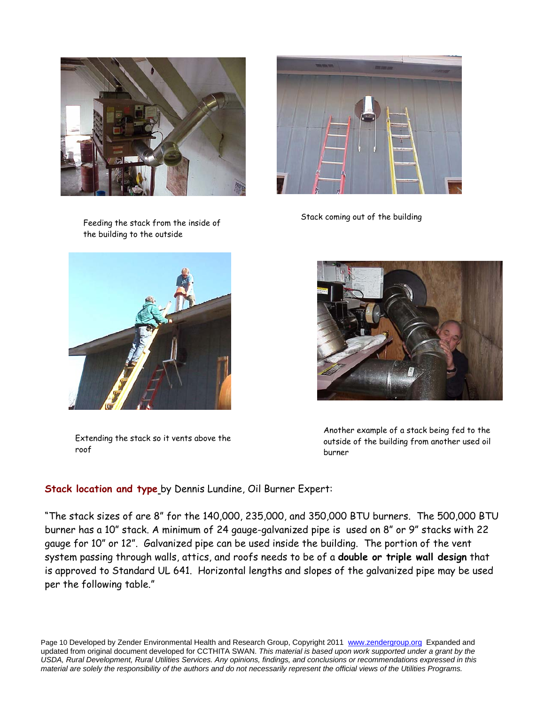

Feeding the stack from the inside of the building to the outside



Extending the stack so it vents above the roof



Stack coming out of the building



Another example of a stack being fed to the outside of the building from another used oil burner

#### **Stack location and type** by Dennis Lundine, Oil Burner Expert:

"The stack sizes of are 8" for the 140,000, 235,000, and 350,000 BTU burners. The 500,000 BTU burner has a 10" stack. A minimum of 24 gauge-galvanized pipe is used on 8" or 9" stacks with 22 gauge for 10" or 12". Galvanized pipe can be used inside the building. The portion of the vent system passing through walls, attics, and roofs needs to be of a **double or triple wall design** that is approved to Standard UL 641. Horizontal lengths and slopes of the galvanized pipe may be used per the following table."

Page 10 Developed by Zender Environmental Health and Research Group, Copyright 2011 www.zendergroup.org Expanded and updated from original document developed for CCTHITA SWAN. *This material is based upon work supported under a grant by the USDA, Rural Development, Rural Utilities Services. Any opinions, findings, and conclusions or recommendations expressed in this material are solely the responsibility of the authors and do not necessarily represent the official views of the Utilities Programs.*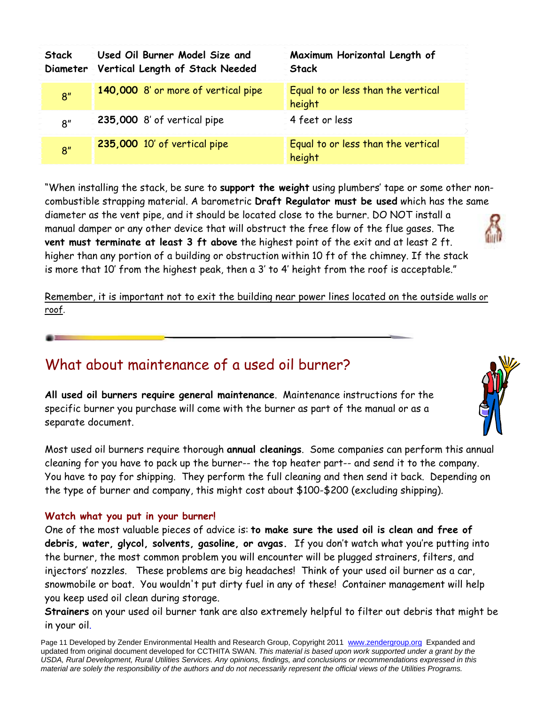| Stack           | Used Oil Burner Model Size and<br>Diameter Vertical Length of Stack Needed | Maximum Horizontal Length of<br><b>Stack</b> |
|-----------------|----------------------------------------------------------------------------|----------------------------------------------|
| 8 <sup>''</sup> | 140,000 8' or more of vertical pipe                                        | Equal to or less than the vertical<br>height |
| R''             | 235,000 8' of vertical pipe                                                | $\leq$ 4 feet or less                        |
| 8 <sup>''</sup> | 235,000 10' of vertical pipe                                               | Equal to or less than the vertical<br>height |

"When installing the stack, be sure to **support the weight** using plumbers' tape or some other noncombustible strapping material. A barometric **Draft Regulator must be used** which has the same diameter as the vent pipe, and it should be located close to the burner. DO NOT install a manual damper or any other device that will obstruct the free flow of the flue gases. The **vent must terminate at least 3 ft above** the highest point of the exit and at least 2 ft. higher than any portion of a building or obstruction within 10 ft of the chimney. If the stack is more that 10' from the highest peak, then a 3' to 4' height from the roof is acceptable."

Remember, it is important not to exit the building near power lines located on the outside walls or roof.

# What about maintenance of a used oil burner?

**All used oil burners require general maintenance**. Maintenance instructions for the specific burner you purchase will come with the burner as part of the manual or as a separate document.

Most used oil burners require thorough **annual cleanings**. Some companies can perform this annual cleaning for you have to pack up the burner-- the top heater part-- and send it to the company. You have to pay for shipping. They perform the full cleaning and then send it back. Depending on the type of burner and company, this might cost about \$100-\$200 (excluding shipping).

#### **Watch what you put in your burner!**

One of the most valuable pieces of advice is: **to make sure the used oil is clean and free of debris, water, glycol, solvents, gasoline, or avgas.** If you don't watch what you're putting into the burner, the most common problem you will encounter will be plugged strainers, filters, and injectors' nozzles. These problems are big headaches! Think of your used oil burner as a car, snowmobile or boat. You wouldn't put dirty fuel in any of these! Container management will help you keep used oil clean during storage.

**Strainers** on your used oil burner tank are also extremely helpful to filter out debris that might be in your oil.

Page 11 Developed by Zender Environmental Health and Research Group, Copyright 2011 www.zendergroup.org Expanded and updated from original document developed for CCTHITA SWAN. *This material is based upon work supported under a grant by the USDA, Rural Development, Rural Utilities Services. Any opinions, findings, and conclusions or recommendations expressed in this material are solely the responsibility of the authors and do not necessarily represent the official views of the Utilities Programs.*

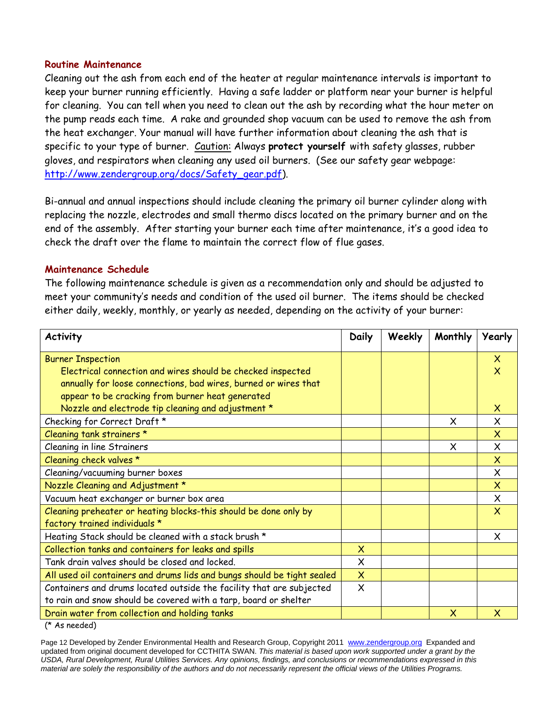#### **Routine Maintenance**

Cleaning out the ash from each end of the heater at regular maintenance intervals is important to keep your burner running efficiently. Having a safe ladder or platform near your burner is helpful for cleaning. You can tell when you need to clean out the ash by recording what the hour meter on the pump reads each time. A rake and grounded shop vacuum can be used to remove the ash from the heat exchanger. Your manual will have further information about cleaning the ash that is specific to your type of burner. Caution: Always **protect yourself** with safety glasses, rubber gloves, and respirators when cleaning any used oil burners. (See our safety gear webpage: http://www.zendergroup.org/docs/Safety\_gear.pdf).

Bi-annual and annual inspections should include cleaning the primary oil burner cylinder along with replacing the nozzle, electrodes and small thermo discs located on the primary burner and on the end of the assembly. After starting your burner each time after maintenance, it's a good idea to check the draft over the flame to maintain the correct flow of flue gases.

#### **Maintenance Schedule**

The following maintenance schedule is given as a recommendation only and should be adjusted to meet your community's needs and condition of the used oil burner. The items should be checked either daily, weekly, monthly, or yearly as needed, depending on the activity of your burner:

| <b>Activity</b>                                                         | Daily                     | Weekly | Monthly  | Yearly                    |
|-------------------------------------------------------------------------|---------------------------|--------|----------|---------------------------|
| <b>Burner Inspection</b>                                                |                           |        |          | $\boldsymbol{\mathsf{X}}$ |
| Electrical connection and wires should be checked inspected             |                           |        |          | $\boldsymbol{\mathsf{x}}$ |
| annually for loose connections, bad wires, burned or wires that         |                           |        |          |                           |
| appear to be cracking from burner heat generated                        |                           |        |          |                           |
| Nozzle and electrode tip cleaning and adjustment *                      |                           |        |          | $\mathsf{x}$              |
| Checking for Correct Draft *                                            |                           |        | X        | X                         |
| Cleaning tank strainers *                                               |                           |        |          | $\overline{\mathsf{x}}$   |
| Cleaning in line Strainers                                              |                           |        | $\times$ | $\mathsf{x}$              |
| Cleaning check valves *                                                 |                           |        |          | $\overline{\mathsf{x}}$   |
| Cleaning/vacuuming burner boxes                                         |                           |        |          | $\times$                  |
| Nozzle Cleaning and Adjustment *                                        |                           |        |          | $\overline{\mathsf{X}}$   |
| Vacuum heat exchanger or burner box area                                |                           |        |          | $\times$                  |
| Cleaning preheater or heating blocks-this should be done only by        |                           |        |          | $\overline{\mathsf{x}}$   |
| factory trained individuals *                                           |                           |        |          |                           |
| Heating Stack should be cleaned with a stack brush *                    |                           |        |          | X.                        |
| Collection tanks and containers for leaks and spills                    | $\boldsymbol{\mathsf{X}}$ |        |          |                           |
| Tank drain valves should be closed and locked.                          | X                         |        |          |                           |
| All used oil containers and drums lids and bungs should be tight sealed | $\overline{\mathsf{X}}$   |        |          |                           |
| Containers and drums located outside the facility that are subjected    | $\times$                  |        |          |                           |
| to rain and snow should be covered with a tarp, board or shelter        |                           |        |          |                           |
| Drain water from collection and holding tanks                           |                           |        | $\times$ | $\boldsymbol{\mathsf{X}}$ |

(\* As needed)

Page 12 Developed by Zender Environmental Health and Research Group, Copyright 2011 www.zendergroup.org Expanded and updated from original document developed for CCTHITA SWAN. *This material is based upon work supported under a grant by the USDA, Rural Development, Rural Utilities Services. Any opinions, findings, and conclusions or recommendations expressed in this material are solely the responsibility of the authors and do not necessarily represent the official views of the Utilities Programs.*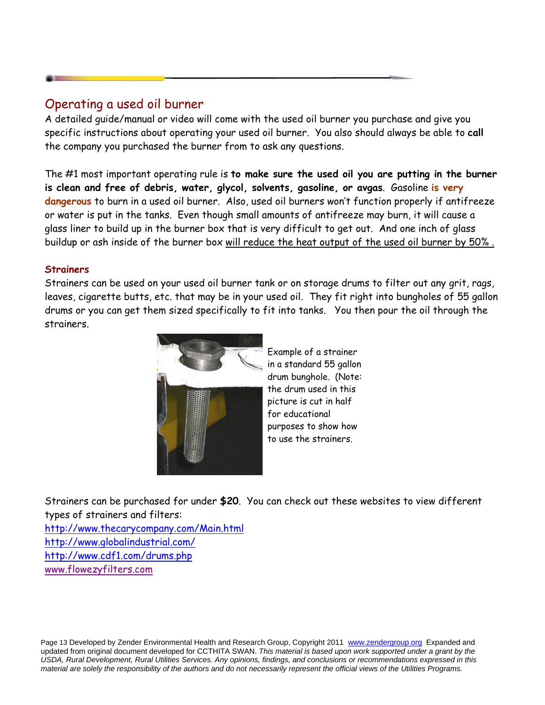### Operating a used oil burner

A detailed guide/manual or video will come with the used oil burner you purchase and give you specific instructions about operating your used oil burner. You also should always be able to **call** the company you purchased the burner from to ask any questions.

The #1 most important operating rule is **to make sure the used oil you are putting in the burner is clean and free of debris, water, glycol, solvents, gasoline, or avgas**. Gasoline **is very dangerous** to burn in a used oil burner. Also, used oil burners won't function properly if antifreeze or water is put in the tanks. Even though small amounts of antifreeze may burn, it will cause a glass liner to build up in the burner box that is very difficult to get out. And one inch of glass buildup or ash inside of the burner box will reduce the heat output of the used oil burner by 50% .

#### **Strainers**

Strainers can be used on your used oil burner tank or on storage drums to filter out any grit, rags, leaves, cigarette butts, etc. that may be in your used oil. They fit right into bungholes of 55 gallon drums or you can get them sized specifically to fit into tanks. You then pour the oil through the strainers.



Example of a strainer in a standard 55 gallon drum bunghole. (Note: the drum used in this picture is cut in half for educational purposes to show how to use the strainers.

Strainers can be purchased for under **\$20**. You can check out these websites to view different types of strainers and filters:

http://www.thecarycompany.com/Main.html http://www.globalindustrial.com/ http://www.cdf1.com/drums.php www.flowezyfilters.com

Page 13 Developed by Zender Environmental Health and Research Group, Copyright 2011 www.zendergroup.org Expanded and updated from original document developed for CCTHITA SWAN. *This material is based upon work supported under a grant by the USDA, Rural Development, Rural Utilities Services. Any opinions, findings, and conclusions or recommendations expressed in this material are solely the responsibility of the authors and do not necessarily represent the official views of the Utilities Programs.*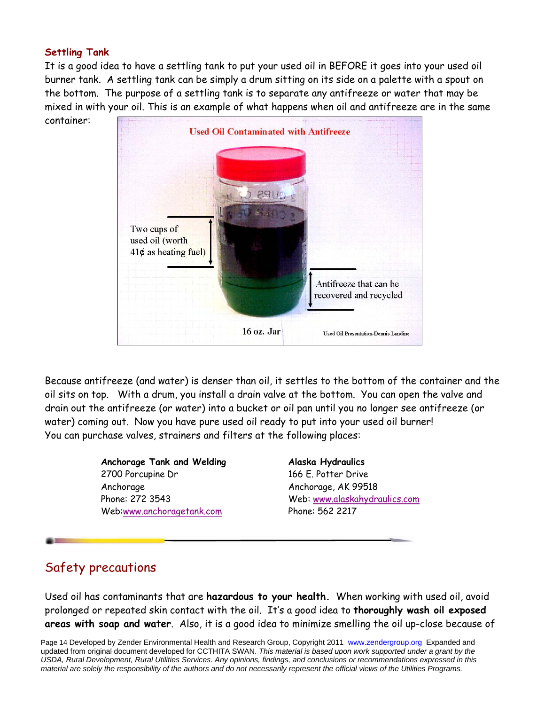#### **Settling Tank**

container:

It is a good idea to have a settling tank to put your used oil in BEFORE it goes into your used oil burner tank. A settling tank can be simply a drum sitting on its side on a palette with a spout on the bottom. The purpose of a settling tank is to separate any antifreeze or water that may be mixed in with your oil. This is an example of what happens when oil and antifreeze are in the same



Because antifreeze (and water) is denser than oil, it settles to the bottom of the container and the oil sits on top. With a drum, you install a drain valve at the bottom. You can open the valve and drain out the antifreeze (or water) into a bucket or oil pan until you no longer see antifreeze (or water) coming out. Now you have pure used oil ready to put into your used oil burner! You can purchase valves, strainers and filters at the following places:

> **Anchorage Tank and Welding**  2700 Porcupine Dr Anchorage Phone: 272 3543 Web:www.anchoragetank.com

**Alaska Hydraulics**  166 E. Potter Drive Anchorage, AK 99518 Web: www.alaskahydraulics.com Phone: 562 2217

# Safety precautions

Used oil has contaminants that are **hazardous to your health.** When working with used oil, avoid prolonged or repeated skin contact with the oil. It's a good idea to **thoroughly wash oil exposed areas with soap and water**. Also, it is a good idea to minimize smelling the oil up-close because of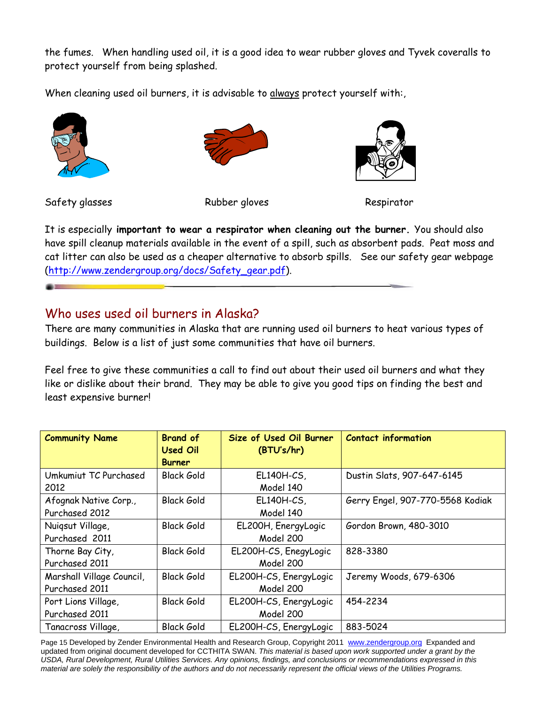the fumes.When handling used oil, it is a good idea to wear rubber gloves and Tyvek coveralls to protect yourself from being splashed.

When cleaning used oil burners, it is advisable to always protect yourself with:,





Safety glasses Rubber gloves Respirator



It is especially **important to wear a respirator when cleaning out the burner.** You should also have spill cleanup materials available in the event of a spill, such as absorbent pads. Peat moss and cat litter can also be used as a cheaper alternative to absorb spills. See our safety gear webpage (http://www.zendergroup.org/docs/Safety\_gear.pdf).

### Who uses used oil burners in Alaska?

There are many communities in Alaska that are running used oil burners to heat various types of buildings. Below is a list of just some communities that have oil burners.

Feel free to give these communities a call to find out about their used oil burners and what they like or dislike about their brand. They may be able to give you good tips on finding the best and least expensive burner!

| <b>Community Name</b>     | <b>Brand of</b>   | Size of Used Oil Burner | <b>Contact information</b>       |
|---------------------------|-------------------|-------------------------|----------------------------------|
|                           | <b>Used Oil</b>   | (BTU's/hr)              |                                  |
|                           | <b>Burner</b>     |                         |                                  |
| Umkumiut TC Purchased     | <b>Black Gold</b> | EL140H-CS,              | Dustin Slats, 907-647-6145       |
| 2012                      |                   | Model 140               |                                  |
| Afognak Native Corp.,     | <b>Black Gold</b> | EL140H-CS,              | Gerry Engel, 907-770-5568 Kodiak |
| Purchased 2012            |                   | Model 140               |                                  |
| Nuigsut Village,          | <b>Black Gold</b> | EL200H, EnergyLogic     | Gordon Brown, 480-3010           |
| Purchased 2011            |                   | Model 200               |                                  |
| Thorne Bay City,          | <b>Black Gold</b> | EL200H-CS, EnegyLogic   | 828-3380                         |
| Purchased 2011            |                   | Model 200               |                                  |
| Marshall Village Council, | Black Gold        | EL200H-CS, EnergyLogic  | Jeremy Woods, 679-6306           |
| Purchased 2011            |                   | Model 200               |                                  |
| Port Lions Village,       | <b>Black Gold</b> | EL200H-CS, EnergyLogic  | 454-2234                         |
| Purchased 2011            |                   | Model 200               |                                  |
| Tanacross Village,        | <b>Black Gold</b> | EL200H-CS, EnergyLogic  | 883-5024                         |

Page 15 Developed by Zender Environmental Health and Research Group, Copyright 2011 www.zendergroup.org Expanded and updated from original document developed for CCTHITA SWAN. *This material is based upon work supported under a grant by the USDA, Rural Development, Rural Utilities Services. Any opinions, findings, and conclusions or recommendations expressed in this material are solely the responsibility of the authors and do not necessarily represent the official views of the Utilities Programs.*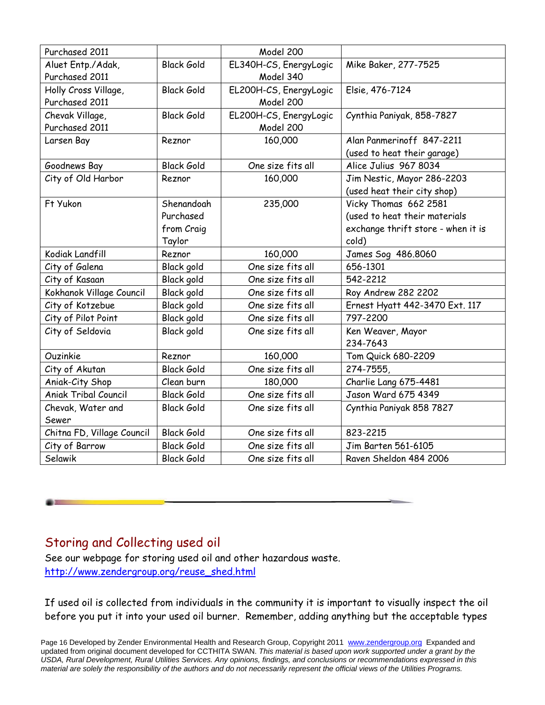| Purchased 2011              |                   | Model 200              |                                    |
|-----------------------------|-------------------|------------------------|------------------------------------|
| Aluet Entp./Adak,           | <b>Black Gold</b> | EL340H-CS, EnergyLogic | Mike Baker, 277-7525               |
| Purchased 2011              |                   | Model 340              |                                    |
| Holly Cross Village,        | <b>Black Gold</b> | EL200H-CS, EnergyLogic | Elsie, 476-7124                    |
| Purchased 2011              |                   | Model 200              |                                    |
| Chevak Village,             | <b>Black Gold</b> | EL200H-CS, EnergyLogic | Cynthia Paniyak, 858-7827          |
| Purchased 2011              |                   | Model 200              |                                    |
| Larsen Bay                  | Reznor            | 160,000                | Alan Panmerinoff 847-2211          |
|                             |                   |                        | (used to heat their garage)        |
| Goodnews Bay                | <b>Black Gold</b> | One size fits all      | Alice Julius 967 8034              |
| City of Old Harbor          | Reznor            | 160,000                | Jim Nestic, Mayor 286-2203         |
|                             |                   |                        | (used heat their city shop)        |
| Ft Yukon                    | Shenandoah        | 235,000                | Vicky Thomas 662 2581              |
|                             | Purchased         |                        | (used to heat their materials      |
|                             | from Craig        |                        | exchange thrift store - when it is |
|                             | Taylor            |                        | cold)                              |
| Kodiak Landfill             | Reznor            | 160,000                | James Sog 486.8060                 |
| City of Galena              | Black gold        | One size fits all      | 656-1301                           |
| City of Kasaan              | Black gold        | One size fits all      | 542-2212                           |
| Kokhanok Village Council    | <b>Black gold</b> | One size fits all      | Roy Andrew 282 2202                |
| City of Kotzebue            | <b>Black gold</b> | One size fits all      | Ernest Hyatt 442-3470 Ext. 117     |
| City of Pilot Point         | <b>Black gold</b> | One size fits all      | 797-2200                           |
| City of Seldovia            | <b>Black gold</b> | One size fits all      | Ken Weaver, Mayor                  |
|                             |                   |                        | 234-7643                           |
| Ouzinkie                    | Reznor            | 160,000                | Tom Quick 680-2209                 |
| City of Akutan              | <b>Black Gold</b> | One size fits all      | 274-7555,                          |
| Aniak-City Shop             | Clean burn        | 180,000                | Charlie Lang 675-4481              |
| <b>Aniak Tribal Council</b> | <b>Black Gold</b> | One size fits all      | Jason Ward 675 4349                |
| Chevak, Water and           | <b>Black Gold</b> | One size fits all      | Cynthia Paniyak 858 7827           |
| Sewer                       |                   |                        |                                    |
| Chitna FD, Village Council  | <b>Black Gold</b> | One size fits all      | 823-2215                           |
| City of Barrow              | <b>Black Gold</b> | One size fits all      | Jim Barten 561-6105                |
| Selawik                     | <b>Black Gold</b> | One size fits all      | Raven Sheldon 484 2006             |

### Storing and Collecting used oil

See our webpage for storing used oil and other hazardous waste. http://www.zendergroup.org/reuse\_shed.html

If used oil is collected from individuals in the community it is important to visually inspect the oil before you put it into your used oil burner. Remember, adding anything but the acceptable types